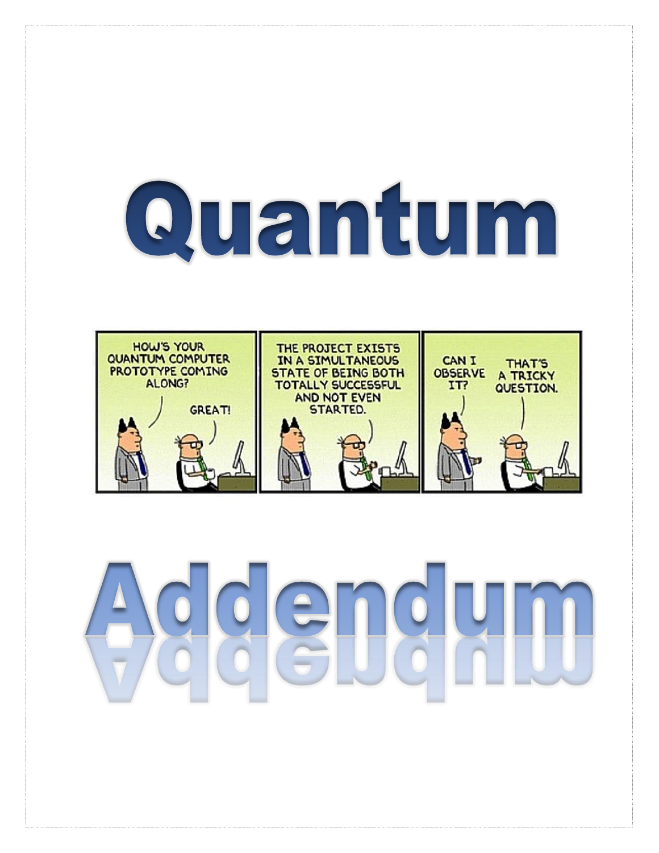# Quantum

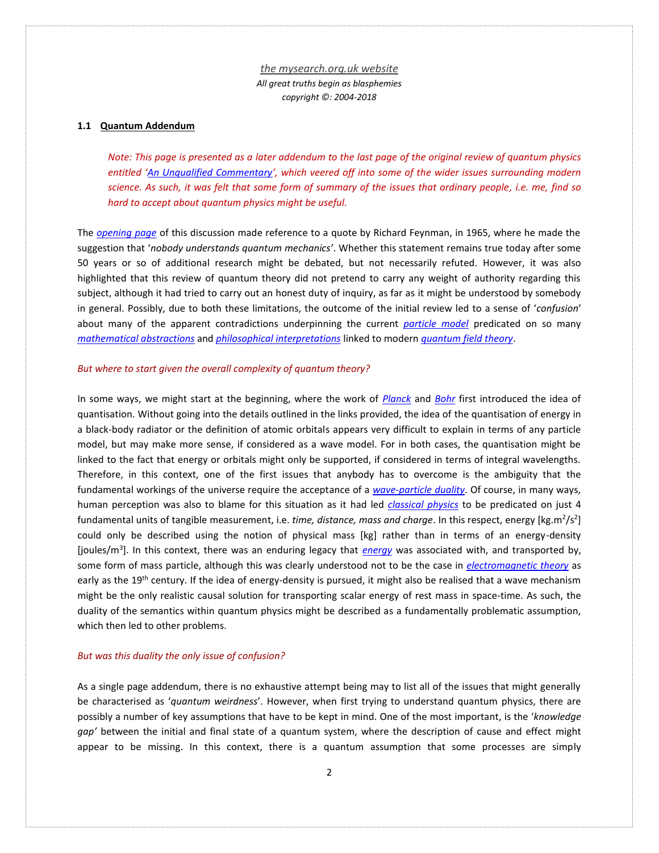### **1.1 Quantum Addendum**

*Note: This page is presented as a later addendum to the last page of the original review of quantum physics entitled '[An Unqualified Commentary](http://www.mysearch.org.uk/website1/html/725.Conclusions.html)', which veered off into some of the wider issues surrounding modern science. As such, it was felt that some form of summary of the issues that ordinary people, i.e. me, find so hard to accept about quantum physics might be useful.*

The *[opening page](http://www.mysearch.org.uk/website1/html/323.Quantum.html)* of this discussion made reference to a quote by Richard Feynman, in 1965, where he made the suggestion that '*nobody understands quantum mechanics'*. Whether this statement remains true today after some 50 years or so of additional research might be debated, but not necessarily refuted. However, it was also highlighted that this review of quantum theory did not pretend to carry any weight of authority regarding this subject, although it had tried to carry out an honest duty of inquiry, as far as it might be understood by somebody in general. Possibly, due to both these limitations, the outcome of the initial review led to a sense of '*confusion*' about many of the apparent contradictions underpinning the current *[particle model](http://www.mysearch.org.uk/website1/html/558.Particles.html)* predicated on so many *[mathematical abstractions](http://www.mysearch.org.uk/website1/html/571.Mathematics.html)* and *[philosophical interpretations](http://www.mysearch.org.uk/website1/html/614.Philosophy.html)* linked to modern *[quantum field theory](http://www.mysearch.org.uk/website1/html/588.QFT.html)*.

#### *But where to start given the overall complexity of quantum theory?*

In some ways, we might start at the beginning, where the work of *[Planck](http://www.mysearch.org.uk/website1/html/519.Radiation.html)* and *[Bohr](http://www.mysearch.org.uk/website1/html/521.Quantized.html)* first introduced the idea of quantisation. Without going into the details outlined in the links provided, the idea of the quantisation of energy in a black-body radiator or the definition of atomic orbitals appears very difficult to explain in terms of any particle model, but may make more sense, if considered as a wave model. For in both cases, the quantisation might be linked to the fact that energy or orbitals might only be supported, if considered in terms of integral wavelengths. Therefore, in this context, one of the first issues that anybody has to overcome is the ambiguity that the fundamental workings of the universe require the acceptance of a *[wave-particle duality](http://www.mysearch.org.uk/website1/html/522.Duality.html)*. Of course, in many ways, human perception was also to blame for this situation as it had led *[classical physics](http://www.mysearch.org.uk/website1/html/203.Classical.html)* to be predicated on just 4 fundamental units of tangible measurement, i.e. time, distance, mass and charge. In this respect, energy [kg.m<sup>2</sup>/s<sup>2</sup>] could only be described using the notion of physical mass [kg] rather than in terms of an energy-density [joules/m<sup>3</sup> ]. In this context, there was an enduring legacy that *[energy](http://www.mysearch.org.uk/website3/html/27.Energy.html)* was associated with, and transported by, some form of mass particle, although this was clearly understood not to be the case in *[electromagnetic theory](http://www.mysearch.org.uk/website1/html/465.Theory.html)* as early as the 19<sup>th</sup> century. If the idea of energy-density is pursued, it might also be realised that a wave mechanism might be the only realistic causal solution for transporting scalar energy of rest mass in space-time. As such, the duality of the semantics within quantum physics might be described as a fundamentally problematic assumption, which then led to other problems.

### *But was this duality the only issue of confusion?*

As a single page addendum, there is no exhaustive attempt being may to list all of the issues that might generally be characterised as '*quantum weirdness*'. However, when first trying to understand quantum physics, there are possibly a number of key assumptions that have to be kept in mind. One of the most important, is the '*knowledge gap'* between the initial and final state of a quantum system, where the description of cause and effect might appear to be missing. In this context, there is a quantum assumption that some processes are simply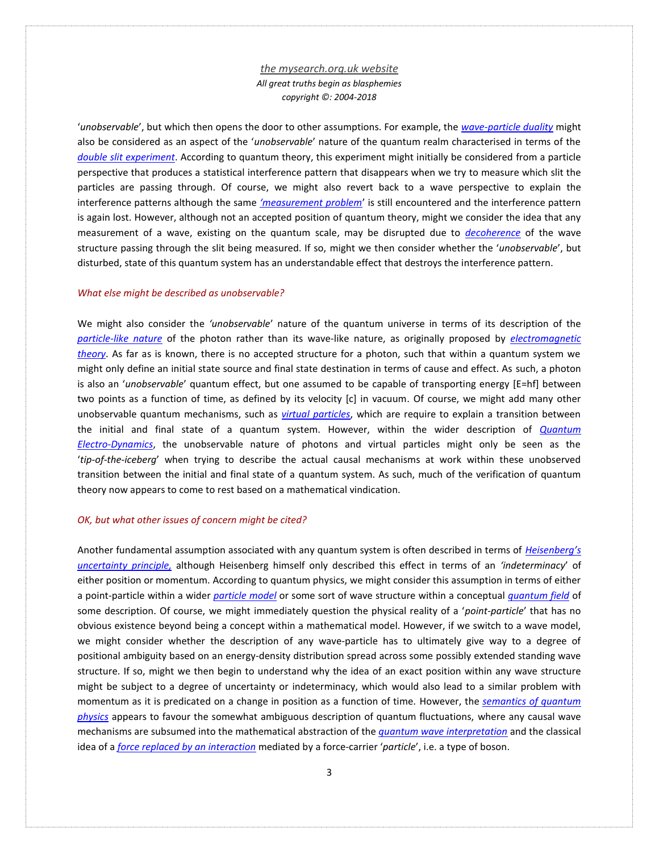'*unobservable*', but which then opens the door to other assumptions. For example, the *[wave-particle duality](http://www.mysearch.org.uk/website1/html/522.Duality.html)* might also be considered as an aspect of the '*unobservable*' nature of the quantum realm characterised in terms of the *[double slit experiment](http://www.mysearch.org.uk/website1/html/546.Double-Slit.html)*. According to quantum theory, this experiment might initially be considered from a particle perspective that produces a statistical interference pattern that disappears when we try to measure which slit the particles are passing through. Of course, we might also revert back to a wave perspective to explain the interference patterns although the same *['measurement problem](https://en.wikipedia.org/wiki/Measurement_problem)*' is still encountered and the interference pattern is again lost. However, although not an accepted position of quantum theory, might we consider the idea that any measurement of a wave, existing on the quantum scale, may be disrupted due to *[decoherence](http://www.mysearch.org.uk/website1/html/582.Coherence.html)* of the wave structure passing through the slit being measured. If so, might we then consider whether the '*unobservable*', but disturbed, state of this quantum system has an understandable effect that destroys the interference pattern.

#### *What else might be described as unobservable?*

We might also consider the *'unobservable*' nature of the quantum universe in terms of its description of the *[particle-like nature](http://www.mysearch.org.uk/website1/html/523.Compton.html)* of the photon rather than its wave-like nature, as originally proposed by *[electromagnetic](http://www.mysearch.org.uk/website1/html/465.Theory.html)  [theory](http://www.mysearch.org.uk/website1/html/465.Theory.html)*. As far as is known, there is no accepted structure for a photon, such that within a quantum system we might only define an initial state source and final state destination in terms of cause and effect. As such, a photon is also an '*unobservable*' quantum effect, but one assumed to be capable of transporting energy [E=hf] between two points as a function of time, as defined by its velocity [c] in vacuum. Of course, we might add many other unobservable quantum mechanisms, such as *[virtual particles](http://www.mysearch.org.uk/website1/html/595.Virtual.html)*, which are require to explain a transition between the initial and final state of a quantum system. However, within the wider description of *[Quantum](http://www.mysearch.org.uk/website1/html/589.Dynamics.html)  [Electro-Dynamics](http://www.mysearch.org.uk/website1/html/589.Dynamics.html)*, the unobservable nature of photons and virtual particles might only be seen as the '*tip-of-the-iceberg*' when trying to describe the actual causal mechanisms at work within these unobserved transition between the initial and final state of a quantum system. As such, much of the verification of quantum theory now appears to come to rest based on a mathematical vindication.

#### *OK, but what other issues of concern might be cited?*

Another fundamental assumption associated with any quantum system is often described in terms of *[Heisenber](http://www.mysearch.org.uk/website1/html/543.Uncertainty.html)g's [uncertainty principle,](http://www.mysearch.org.uk/website1/html/543.Uncertainty.html)* although Heisenberg himself only described this effect in terms of an *'indeterminacy*' of either position or momentum. According to quantum physics, we might consider this assumption in terms of either a point-particle within a wider *[particle model](http://www.mysearch.org.uk/website1/html/557.Concepts.html)* or some sort of wave structure within a conceptual *[quantum field](http://www.mysearch.org.uk/website1/html/564.Fields.html)* of some description. Of course, we might immediately question the physical reality of a '*point-particle*' that has no obvious existence beyond being a concept within a mathematical model. However, if we switch to a wave model, we might consider whether the description of any wave-particle has to ultimately give way to a degree of positional ambiguity based on an energy-density distribution spread across some possibly extended standing wave structure. If so, might we then begin to understand why the idea of an exact position within any wave structure might be subject to a degree of uncertainty or indeterminacy, which would also lead to a similar problem with momentum as it is predicated on a change in position as a function of time. However, the *[semantics of quantum](http://www.mysearch.org.uk/website1/html/561.Semantics.html)  [physics](http://www.mysearch.org.uk/website1/html/561.Semantics.html)* appears to favour the somewhat ambiguous description of quantum fluctuations, where any causal wave mechanisms are subsumed into the mathematical abstraction of the *[quantum wave interpretation](http://www.mysearch.org.uk/website1/html/548.Interpretation.html)* and the classical idea of a *[force replaced by](http://www.mysearch.org.uk/website1/html/563.Forces.html) an interaction* mediated by a force-carrier '*particle*', i.e. a type of boson.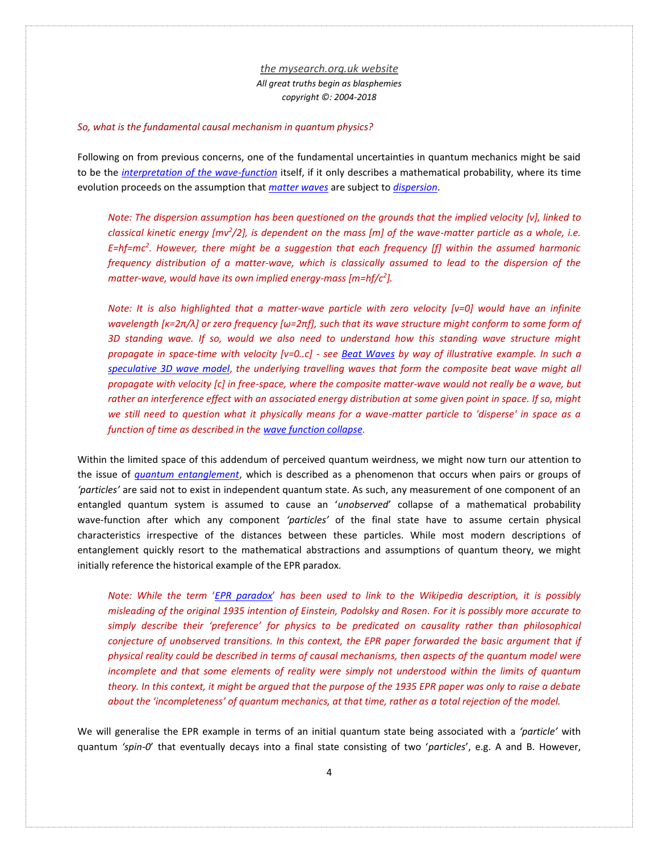#### *So, what is the fundamental causal mechanism in quantum physics?*

Following on from previous concerns, one of the fundamental uncertainties in quantum mechanics might be said to be the *[interpretation of the wave-function](http://www.mysearch.org.uk/website1/html/548.Interpretation.html)* itself, if it only describes a mathematical probability, where its time evolution proceeds on the assumption that *[matter waves](http://www.mysearch.org.uk/website1/html/526.Matter.html)* are subject to *[dispersion](http://www.mysearch.org.uk/website1/html/525.Dispersion.html)*.

*Note: The dispersion assumption has been questioned on the grounds that the implied velocity [v], linked to classical kinetic energy [mv<sup>2</sup> /2], is dependent on the mass [m] of the wave-matter particle as a whole, i.e. E=hf=mc<sup>2</sup> . However, there might be a suggestion that each frequency [f] within the assumed harmonic frequency distribution of a matter-wave, which is classically assumed to lead to the dispersion of the matter-wave, would have its own implied energy-mass [m=hf/c<sup>2</sup> ].*

*Note: It is also highlighted that a matter-wave particle with zero velocity [v=0] would have an infinite wavelength [κ=2π/λ] or zero frequency [ω=2πf], such that its wave structure might conform to some form of 3D standing wave. If so, would we also need to understand how this standing wave structure might propagate in space-time with velocity [v=0..c] - see [Beat Waves](http://www.mysearch.org.uk/website3/html/41.Beats.html) by way of illustrative example. In such a [speculative 3D wave model](http://www.mysearch.org.uk/website3/html/2.WSE.html)*, *the underlying travelling waves that form the composite beat wave might all propagate with velocity [c] in free-space, where the composite matter-wave would not really be a wave, but*  rather an interference effect with an associated energy distribution at some given point in space. If so, might *we still need to question what it physically means for a wave-matter particle to 'disperse' in space as a function of time as described in th[e wave function collapse.](http://www.mysearch.org.uk/website1/html/549.Collapse.html)*

Within the limited space of this addendum of perceived quantum weirdness, we might now turn our attention to the issue of *[quantum entanglement](http://www.mysearch.org.uk/website1/html/551.Entanglement.html)*, which is described as a phenomenon that occurs when pairs or groups of *'particles'* are said not to exist in independent quantum state. As such, any measurement of one component of an entangled quantum system is assumed to cause an '*unobserved*' collapse of a mathematical probability wave-function after which any component *'particles'* of the final state have to assume certain physical characteristics irrespective of the distances between these particles. While most modern descriptions of entanglement quickly resort to the mathematical abstractions and assumptions of quantum theory, we might initially reference the historical example of the EPR paradox.

*Note: While the term* '*[EPR paradox](https://en.wikipedia.org/wiki/EPR_paradox)*' *has been used to link to the Wikipedia description, it is possibly misleading of the original 1935 intention of Einstein, Podolsky and Rosen. For it is possibly more accurate to simply describe their 'preference' for physics to be predicated on causality rather than philosophical conjecture of unobserved transitions. In this context, the EPR paper forwarded the basic argument that if physical reality could be described in terms of causal mechanisms, then aspects of the quantum model were incomplete and that some elements of reality were simply not understood within the limits of quantum theory. In this context, it might be argued that the purpose of the 1935 EPR paper was only to raise a debate about the 'incompleteness' of quantum mechanics, at that time, rather as a total rejection of the model.*

We will generalise the EPR example in terms of an initial quantum state being associated with a *'particle'* with quantum *'spin-0*' that eventually decays into a final state consisting of two '*particles*', e.g. A and B. However,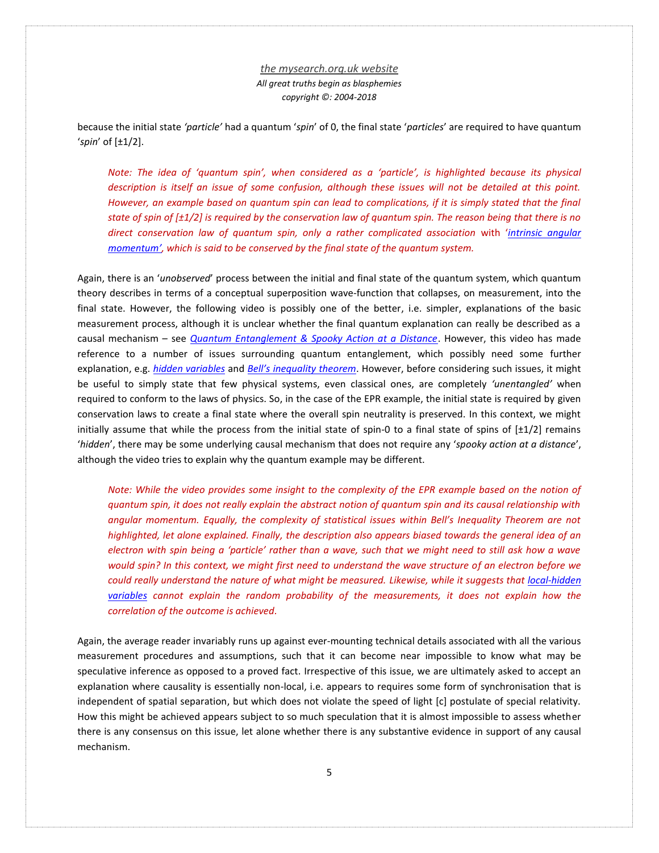because the initial state *'particle'* had a quantum '*spin*' of 0, the final state '*particles*' are required to have quantum '*spin*' of [±1/2].

*Note: The idea of 'quantum spin', when considered as a 'particle', is highlighted because its physical description is itself an issue of some confusion, although these issues will not be detailed at this point. However, an example based on quantum spin can lead to complications, if it is simply stated that the final state of spin of [±1/2] is required by the conservation law of quantum spin. The reason being that there is no direct conservation law of quantum spin, only a rather complicated association* with '*intrinsic [angular](https://en.wikipedia.org/wiki/Spin_(physics))  [momentum](https://en.wikipedia.org/wiki/Spin_(physics))', which is said to be conserved by the final state of the quantum system.*

Again, there is an '*unobserved*' process between the initial and final state of the quantum system, which quantum theory describes in terms of a conceptual superposition wave-function that collapses, on measurement, into the final state. However, the following video is possibly one of the better, i.e. simpler, explanations of the basic measurement process, although it is unclear whether the final quantum explanation can really be described as a causal mechanism – see *[Quantum Entanglement & Spooky Action at a Distance](https://www.youtube.com/watch?v=ZuvK-od647c)*. However, this video has made reference to a number of issues surrounding quantum entanglement, which possibly need some further explanation, e.g. *[hidden variables](https://en.wikipedia.org/wiki/Hidden-variable_theory)* and *[Bell's inequality theorem](https://en.wikipedia.org/wiki/Bell%27s_theorem)*. However, before considering such issues, it might be useful to simply state that few physical systems, even classical ones, are completely *'unentangled'* when required to conform to the laws of physics. So, in the case of the EPR example, the initial state is required by given conservation laws to create a final state where the overall spin neutrality is preserved. In this context, we might initially assume that while the process from the initial state of spin-0 to a final state of spins of  $[\pm 1/2]$  remains '*hidden*', there may be some underlying causal mechanism that does not require any '*spooky action at a distance*', although the video tries to explain why the quantum example may be different.

*Note: While the video provides some insight to the complexity of the EPR example based on the notion of quantum spin, it does not really explain the abstract notion of quantum spin and its causal relationship with angular momentum. Equally, the complexity of statistical issues within Bell's Inequality Theorem are not highlighted, let alone explained. Finally, the description also appears biased towards the general idea of an electron with spin being a 'particle' rather than a wave, such that we might need to still ask how a wave would spin? In this context, we might first need to understand the wave structure of an electron before we could really understand the nature of what might be measured. Likewise, while it suggests that [local-hidden](https://en.wikipedia.org/wiki/Local_hidden-variable_theory)  [variables](https://en.wikipedia.org/wiki/Local_hidden-variable_theory) cannot explain the random probability of the measurements, it does not explain how the correlation of the outcome is achieved.*

Again, the average reader invariably runs up against ever-mounting technical details associated with all the various measurement procedures and assumptions, such that it can become near impossible to know what may be speculative inference as opposed to a proved fact. Irrespective of this issue, we are ultimately asked to accept an explanation where causality is essentially non-local, i.e. appears to requires some form of synchronisation that is independent of spatial separation, but which does not violate the speed of light [c] postulate of special relativity. How this might be achieved appears subject to so much speculation that it is almost impossible to assess whether there is any consensus on this issue, let alone whether there is any substantive evidence in support of any causal mechanism.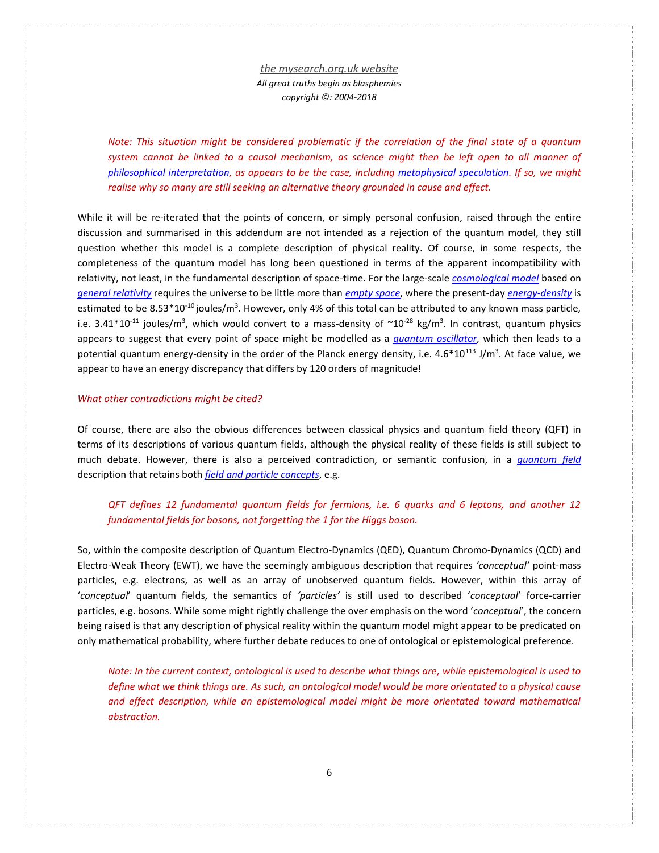*Note: This situation might be considered problematic if the correlation of the final state of a quantum system cannot be linked to a causal mechanism, as science might then be left open to all manner of [philosophical interpretation,](http://www.mysearch.org.uk/website1/html/616.Interpretations.html) as appears to be the case, including [metaphysical speculation.](https://en.wikipedia.org/wiki/Quantum_mysticism) If so, we might realise why so many are still seeking an alternative theory grounded in cause and effect.*

While it will be re-iterated that the points of concern, or simply personal confusion, raised through the entire discussion and summarised in this addendum are not intended as a rejection of the quantum model, they still question whether this model is a complete description of physical reality. Of course, in some respects, the completeness of the quantum model has long been questioned in terms of the apparent incompatibility with relativity, not least, in the fundamental description of space-time. For the large-scale *[cosmological model](http://www.mysearch.org.uk/website1/html/364.Concordance.html)* based on *[general relativity](http://www.mysearch.org.uk/website1/html/254.General.html)* requires the universe to be little more than *[empty space](http://www.mysearch.org.uk/website1/html/628.Space.html)*, where the present-day *[energy-density](http://www.mysearch.org.uk/website1/html/401.Calculator.html)* is estimated to be 8.53\*10<sup>-10</sup> joules/m<sup>3</sup>. However, only 4% of this total can be attributed to any known mass particle, i.e. 3.41\*10<sup>-11</sup> joules/m<sup>3</sup>, which would convert to a mass-density of  $\simeq$ 10<sup>-28</sup> kg/m<sup>3</sup>. In contrast, quantum physics appears to suggest that every point of space might be modelled as a *quantum [oscillator](http://www.mysearch.org.uk/website3/html/26.Perspective.html)*, which then leads to a potential quantum energy-density in the order of the Planck energy density, i.e. 4.6\*10<sup>113</sup> J/m<sup>3</sup>. At face value, we appear to have an energy discrepancy that differs by 120 orders of magnitude!

#### *What other contradictions might be cited?*

Of course, there are also the obvious differences between classical physics and quantum field theory (QFT) in terms of its descriptions of various quantum fields, although the physical reality of these fields is still subject to much debate. However, there is also a perceived contradiction, or semantic confusion, in a *[quantum field](http://www.mysearch.org.uk/website1/html/588.QFT.html)* description that retains both *field [and particle concepts](http://www.mysearch.org.uk/website1/html/557.Concepts.html)*, e.g.

# *QFT defines 12 fundamental quantum fields for fermions, i.e. 6 quarks and 6 leptons, and another 12 fundamental fields for bosons, not forgetting the 1 for the Higgs boson.*

So, within the composite description of Quantum Electro-Dynamics (QED), Quantum Chromo-Dynamics (QCD) and Electro-Weak Theory (EWT), we have the seemingly ambiguous description that requires *'conceptual'* point-mass particles, e.g. electrons, as well as an array of unobserved quantum fields. However, within this array of '*conceptual*' quantum fields, the semantics of *'particles'* is still used to described '*conceptual*' force-carrier particles, e.g. bosons. While some might rightly challenge the over emphasis on the word '*conceptual*', the concern being raised is that any description of physical reality within the quantum model might appear to be predicated on only mathematical probability, where further debate reduces to one of ontological or epistemological preference.

*Note: In the current context, ontological is used to describe what things are, while epistemological is used to define what we think things are. As such, an ontological model would be more orientated to a physical cause and effect description, while an epistemological model might be more orientated toward mathematical abstraction.*